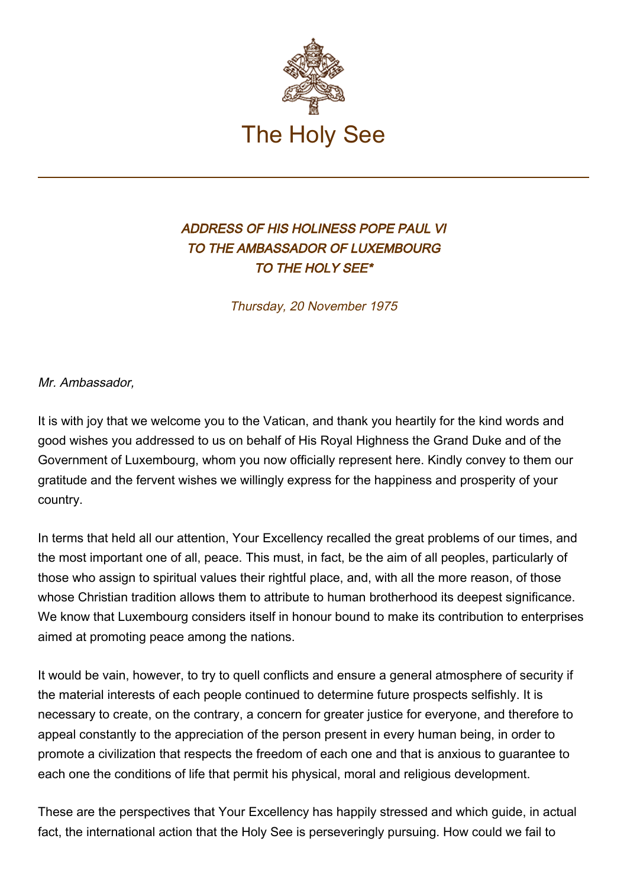

## ADDRESS OF HIS HOLINESS POPE PAUL VI TO THE AMBASSADOR OF LUXEMBOURG TO THE HOLY SEE\*

Thursday, 20 November 1975

Mr. Ambassador,

It is with joy that we welcome you to the Vatican, and thank you heartily for the kind words and good wishes you addressed to us on behalf of His Royal Highness the Grand Duke and of the Government of Luxembourg, whom you now officially represent here. Kindly convey to them our gratitude and the fervent wishes we willingly express for the happiness and prosperity of your country.

In terms that held all our attention, Your Excellency recalled the great problems of our times, and the most important one of all, peace. This must, in fact, be the aim of all peoples, particularly of those who assign to spiritual values their rightful place, and, with all the more reason, of those whose Christian tradition allows them to attribute to human brotherhood its deepest significance. We know that Luxembourg considers itself in honour bound to make its contribution to enterprises aimed at promoting peace among the nations.

It would be vain, however, to try to quell conflicts and ensure a general atmosphere of security if the material interests of each people continued to determine future prospects selfishly. It is necessary to create, on the contrary, a concern for greater justice for everyone, and therefore to appeal constantly to the appreciation of the person present in every human being, in order to promote a civilization that respects the freedom of each one and that is anxious to guarantee to each one the conditions of life that permit his physical, moral and religious development.

These are the perspectives that Your Excellency has happily stressed and which guide, in actual fact, the international action that the Holy See is perseveringly pursuing. How could we fail to